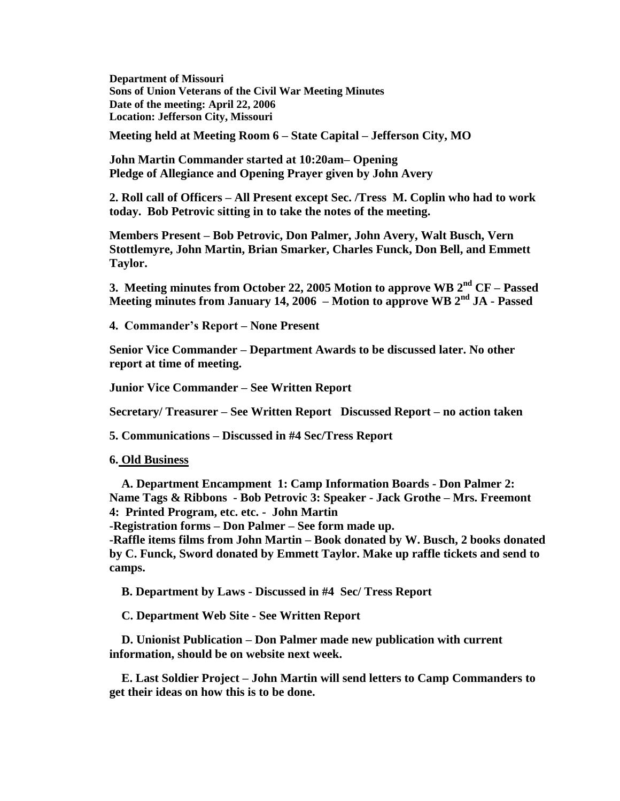**Department of Missouri Sons of Union Veterans of the Civil War Meeting Minutes Date of the meeting: April 22, 2006 Location: Jefferson City, Missouri**

**Meeting held at Meeting Room 6 – State Capital – Jefferson City, MO**

**John Martin Commander started at 10:20am– Opening Pledge of Allegiance and Opening Prayer given by John Avery**

**2. Roll call of Officers – All Present except Sec. /Tress M. Coplin who had to work today. Bob Petrovic sitting in to take the notes of the meeting.** 

**Members Present – Bob Petrovic, Don Palmer, John Avery, Walt Busch, Vern Stottlemyre, John Martin, Brian Smarker, Charles Funck, Don Bell, and Emmett Taylor.** 

**3. Meeting minutes from October 22, 2005 Motion to approve WB 2nd CF – Passed Meeting minutes from January 14, 2006 – Motion to approve WB 2nd JA - Passed**

**4. Commander's Report – None Present** 

**Senior Vice Commander – Department Awards to be discussed later. No other report at time of meeting.**

**Junior Vice Commander – See Written Report** 

**Secretary/ Treasurer – See Written Report Discussed Report – no action taken**

**5. Communications – Discussed in #4 Sec/Tress Report**

**6. Old Business**

 **A. Department Encampment 1: Camp Information Boards - Don Palmer 2: Name Tags & Ribbons - Bob Petrovic 3: Speaker - Jack Grothe – Mrs. Freemont 4: Printed Program, etc. etc. - John Martin** 

**-Registration forms – Don Palmer – See form made up.** 

**-Raffle items films from John Martin – Book donated by W. Busch, 2 books donated by C. Funck, Sword donated by Emmett Taylor. Make up raffle tickets and send to camps.** 

 **B. Department by Laws - Discussed in #4 Sec/ Tress Report**

 **C. Department Web Site - See Written Report**

 **D. Unionist Publication – Don Palmer made new publication with current information, should be on website next week.**

 **E. Last Soldier Project – John Martin will send letters to Camp Commanders to get their ideas on how this is to be done.**